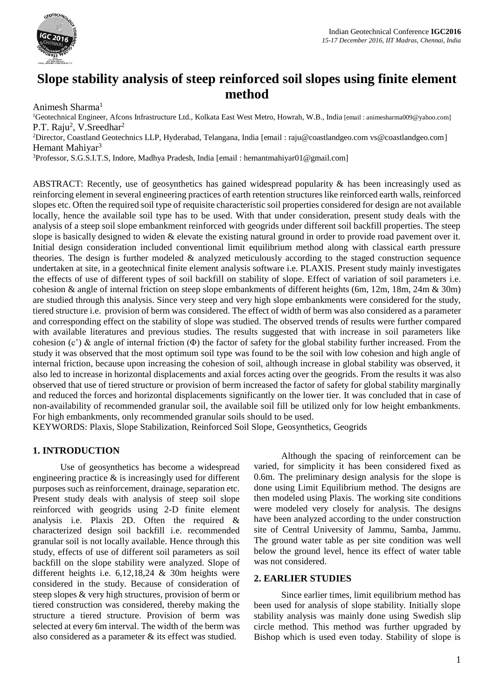

# **Slope stability analysis of steep reinforced soil slopes using finite element method**

Animesh Sharma<sup>1</sup>

<sup>1</sup>Geotechnical Engineer, Afcons Infrastructure Ltd., Kolkata East West Metro, Howrah, W.B., India [email : animesharma009@yahoo.com] P.T. Raju<sup>2</sup>, V.Sreedhar<sup>2</sup>

<sup>2</sup>Director, Coastland Geotechnics LLP, Hyderabad, Telangana, India [email : [raju@coastlandgeo.com](mailto:raju@coastlandgeo.com) [vs@coastlandgeo.com\]](mailto:vs@coastlandgeo.com) Hemant Mahiyar<sup>3</sup>

<sup>3</sup>Professor, S.G.S.I.T.S, Indore, Madhya Pradesh, India [email : hemantmahiyar01@gmail.com]

ABSTRACT: Recently, use of geosynthetics has gained widespread popularity & has been increasingly used as reinforcing element in several engineering practices of earth retention structures like reinforced earth walls, reinforced slopes etc. Often the required soil type of requisite characteristic soil properties considered for design are not available locally, hence the available soil type has to be used. With that under consideration, present study deals with the analysis of a steep soil slope embankment reinforced with geogrids under different soil backfill properties. The steep slope is basically designed to widen & elevate the existing natural ground in order to provide road pavement over it. Initial design consideration included conventional limit equilibrium method along with classical earth pressure theories. The design is further modeled & analyzed meticulously according to the staged construction sequence undertaken at site, in a geotechnical finite element analysis software i.e. PLAXIS. Present study mainly investigates the effects of use of different types of soil backfill on stability of slope. Effect of variation of soil parameters i.e. cohesion & angle of internal friction on steep slope embankments of different heights (6m, 12m, 18m, 24m & 30m) are studied through this analysis. Since very steep and very high slope embankments were considered for the study, tiered structure i.e. provision of berm was considered. The effect of width of berm was also considered as a parameter and corresponding effect on the stability of slope was studied. The observed trends of results were further compared with available literatures and previous studies. The results suggested that with increase in soil parameters like cohesion  $(c')$  & angle of internal friction  $(\Phi)$  the factor of safety for the global stability further increased. From the study it was observed that the most optimum soil type was found to be the soil with low cohesion and high angle of internal friction, because upon increasing the cohesion of soil, although increase in global stability was observed, it also led to increase in horizontal displacements and axial forces acting over the geogrids. From the results it was also observed that use of tiered structure or provision of berm increased the factor of safety for global stability marginally and reduced the forces and horizontal displacements significantly on the lower tier. It was concluded that in case of non-availability of recommended granular soil, the available soil fill be utilized only for low height embankments. For high embankments, only recommended granular soils should to be used.

KEYWORDS: Plaxis, Slope Stabilization, Reinforced Soil Slope, Geosynthetics, Geogrids

## **1. INTRODUCTION**

Use of geosynthetics has become a widespread engineering practice & is increasingly used for different purposes such as reinforcement, drainage, separation etc. Present study deals with analysis of steep soil slope reinforced with geogrids using 2-D finite element analysis i.e. Plaxis 2D. Often the required & characterized design soil backfill i.e. recommended granular soil is not locally available. Hence through this study, effects of use of different soil parameters as soil backfill on the slope stability were analyzed. Slope of different heights i.e. 6,12,18,24 & 30m heights were considered in the study. Because of consideration of steep slopes & very high structures, provision of berm or tiered construction was considered, thereby making the structure a tiered structure. Provision of berm was selected at every 6m interval. The width of the berm was also considered as a parameter & its effect was studied.

Although the spacing of reinforcement can be varied, for simplicity it has been considered fixed as 0.6m. The preliminary design analysis for the slope is done using Limit Equilibrium method. The designs are then modeled using Plaxis. The working site conditions were modeled very closely for analysis. The designs have been analyzed according to the under construction site of Central University of Jammu, Samba, Jammu. The ground water table as per site condition was well below the ground level, hence its effect of water table was not considered.

#### **2. EARLIER STUDIES**

Since earlier times, limit equilibrium method has been used for analysis of slope stability. Initially slope stability analysis was mainly done using Swedish slip circle method. This method was further upgraded by Bishop which is used even today. Stability of slope is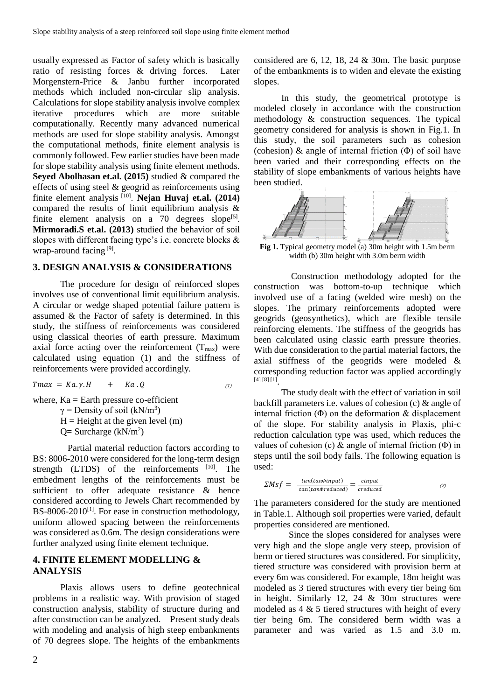usually expressed as Factor of safety which is basically ratio of resisting forces & driving forces. Later Morgenstern-Price & Janbu further incorporated methods which included non-circular slip analysis. Calculations for slope stability analysis involve complex iterative procedures which are more suitable computationally. Recently many advanced numerical methods are used for slope stability analysis. Amongst the computational methods, finite element analysis is commonly followed. Few earlier studies have been made for slope stability analysis using finite element methods. **Seyed Abolhasan et.al. (2015)** studied & compared the effects of using steel & geogrid as reinforcements using finite element analysis [10] . **Nejan Huvaj et.al. (2014)** compared the results of limit equilibrium analysis & finite element analysis on a  $70$  degrees slope<sup>[5]</sup>. **Mirmoradi.S et.al. (2013)** studied the behavior of soil slopes with different facing type's i.e. concrete blocks & wrap-around facing<sup>[9]</sup>.

## **3. DESIGN ANALYSIS & CONSIDERATIONS**

The procedure for design of reinforced slopes involves use of conventional limit equilibrium analysis. A circular or wedge shaped potential failure pattern is assumed & the Factor of safety is determined. In this study, the stiffness of reinforcements was considered using classical theories of earth pressure. Maximum axial force acting over the reinforcement  $(T_{\text{max}})$  were calculated using equation (1) and the stiffness of reinforcements were provided accordingly.

 $Tmax = Ka.y.H + Ka.Q$ (1)

where,  $Ka = Earth$  pressure co-efficient  $\gamma$  = Density of soil (kN/m<sup>3</sup>)  $H =$ Height at the given level (m)  $Q =$  Surcharge (kN/m<sup>2</sup>)

Partial material reduction factors according to BS: 8006-2010 were considered for the long-term design strength  $(LTDS)$  of the reinforcements  $[10]$ . The embedment lengths of the reinforcements must be sufficient to offer adequate resistance & hence considered according to Jewels Chart recommended by BS-8006-2010<sup>[1]</sup>. For ease in construction methodology, uniform allowed spacing between the reinforcements was considered as 0.6m. The design considerations were further analyzed using finite element technique.

## **4. FINITE ELEMENT MODELLING & ANALYSIS**

Plaxis allows users to define geotechnical problems in a realistic way. With provision of staged construction analysis, stability of structure during and after construction can be analyzed. Present study deals with modeling and analysis of high steep embankments of 70 degrees slope. The heights of the embankments considered are 6, 12, 18, 24 & 30m. The basic purpose of the embankments is to widen and elevate the existing slopes.

In this study, the geometrical prototype is modeled closely in accordance with the construction methodology & construction sequences. The typical geometry considered for analysis is shown in Fig.1. In this study, the soil parameters such as cohesion (cohesion) & angle of internal friction (Φ) of soil have been varied and their corresponding effects on the stability of slope embankments of various heights have been studied.



**Fig 1.** Typical geometry model (a) 30m height with 1.5m berm width (b) 30m height with 3.0m berm width

Construction methodology adopted for the construction was bottom-to-up technique which involved use of a facing (welded wire mesh) on the slopes. The primary reinforcements adopted were geogrids (geosynthetics), which are flexible tensile reinforcing elements. The stiffness of the geogrids has been calculated using classic earth pressure theories. With due consideration to the partial material factors, the axial stiffness of the geogrids were modeled & corresponding reduction factor was applied accordingly [4] [8] [1] .

The study dealt with the effect of variation in soil backfill parameters i.e. values of cohesion (c) & angle of internal friction  $(\Phi)$  on the deformation  $\&$  displacement of the slope. For stability analysis in Plaxis, phi-c reduction calculation type was used, which reduces the values of cohesion (c)  $\&$  angle of internal friction ( $\Phi$ ) in steps until the soil body fails. The following equation is used:

$$
\Sigma M s f = -\frac{\tan(\tan\phi input)}{\tan(\tan\phi reduced)} = \frac{\text{cinput}}{\text{reduced}} \tag{2}
$$

The parameters considered for the study are mentioned in Table.1. Although soil properties were varied, default properties considered are mentioned.

Since the slopes considered for analyses were very high and the slope angle very steep, provision of berm or tiered structures was considered. For simplicity, tiered structure was considered with provision berm at every 6m was considered. For example, 18m height was modeled as 3 tiered structures with every tier being 6m in height. Similarly 12, 24 & 30m structures were modeled as  $4 \& 5$  tiered structures with height of every tier being 6m. The considered berm width was a parameter and was varied as 1.5 and 3.0 m.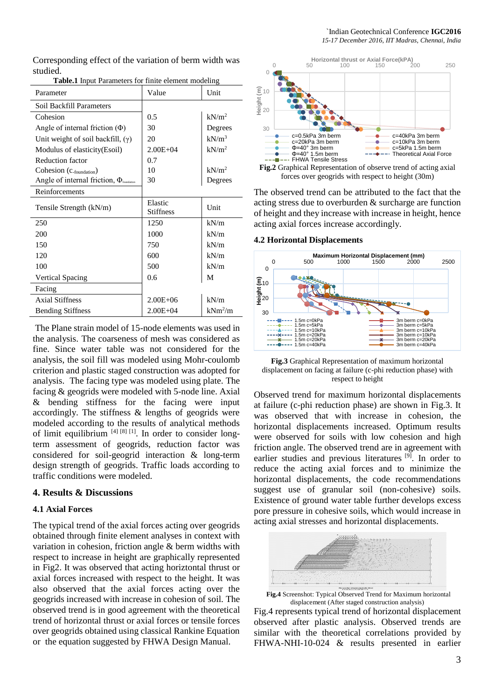Corresponding effect of the variation of berm width was studied.

| Parameter                                                     | Value                       | Unit              |
|---------------------------------------------------------------|-----------------------------|-------------------|
| Soil Backfill Parameters                                      |                             |                   |
| Cohesion                                                      | 0.5                         | kN/m <sup>2</sup> |
| Angle of internal friction $(\Phi)$                           | 30                          | Degrees           |
| Unit weight of soil backfill, $(\gamma)$                      | 20                          | $kN/m^3$          |
| Modulus of elasticity (Esoil)                                 | $2.00E + 04$                | kN/m <sup>2</sup> |
| <b>Reduction factor</b>                                       | 0.7                         |                   |
| Cohesion (C <sub>-foundation</sub> )                          | 10                          | kN/m <sup>2</sup> |
| Angle of internal friction, $\Phi_{\text{\tiny{foundation}}}$ | 30                          | Degrees           |
| Reinforcements                                                |                             |                   |
| Tensile Strength (kN/m)                                       | Elastic<br><b>Stiffness</b> | Unit              |
| 250                                                           | 1250                        | kN/m              |
| 200                                                           | 1000                        | kN/m              |
| 150                                                           | 750                         | kN/m              |
| 120                                                           | 600                         | kN/m              |
| 100                                                           | 500                         | kN/m              |
| <b>Vertical Spacing</b>                                       | 0.6                         | M                 |
| Facing                                                        |                             |                   |
| <b>Axial Stiffness</b>                                        | $2.00E + 06$                | kN/m              |
| <b>Bending Stiffness</b>                                      | $2.00E + 04$                | $kNm^2/m$         |

**Table.1** Input Parameters for finite element modeling

The Plane strain model of 15-node elements was used in the analysis. The coarseness of mesh was considered as fine. Since water table was not considered for the analysis, the soil fill was modeled using Mohr-coulomb criterion and plastic staged construction was adopted for analysis. The facing type was modeled using plate. The facing & geogrids were modeled with 5-node line. Axial & bending stiffness for the facing were input accordingly. The stiffness & lengths of geogrids were modeled according to the results of analytical methods of limit equilibrium  $[4]$   $[8]$   $[1]$ . In order to consider longterm assessment of geogrids, reduction factor was considered for soil-geogrid interaction & long-term design strength of geogrids. Traffic loads according to traffic conditions were modeled.

#### **4. Results & Discussions**

#### **4.1 Axial Forces**

The typical trend of the axial forces acting over geogrids obtained through finite element analyses in context with variation in cohesion, friction angle & berm widths with respect to increase in height are graphically represented in Fig2. It was observed that acting horiztontal thrust or axial forces increased with respect to the height. It was also observed that the axial forces acting over the geogrids increased with increase in cohesion of soil. The observed trend is in good agreement with the theoretical trend of horizontal thrust or axial forces or tensile forces over geogrids obtained using classical Rankine Equation or the equation suggested by FHWA Design Manual.





The observed trend can be attributed to the fact that the acting stress due to overburden & surcharge are function of height and they increase with increase in height, hence acting axial forces increase accordingly.

#### **4.2 Horizontal Displacements**



**Fig.3** Graphical Representation of maximum horizontal displacement on facing at failure (c-phi reduction phase) with respect to height

Observed trend for maximum horizontal displacements at failure (c-phi reduction phase) are shown in Fig.3. It was observed that with increase in cohesion, the horizontal displacements increased. Optimum results were observed for soils with low cohesion and high friction angle. The observed trend are in agreement with earlier studies and previous literatures [9]. In order to reduce the acting axial forces and to minimize the horizontal displacements, the code recommendations suggest use of granular soil (non-cohesive) soils. Existence of ground water table further develops excess pore pressure in cohesive soils, which would increase in acting axial stresses and horizontal displacements.



**Fig.4** Screenshot: Typical Observed Trend for Maximum horizontal displacement (After staged construction analysis)

Fig.4 represents typical trend of horizontal displacement observed after plastic analysis. Observed trends are similar with the theoretical correlations provided by FHWA-NHI-10-024 & results presented in earlier